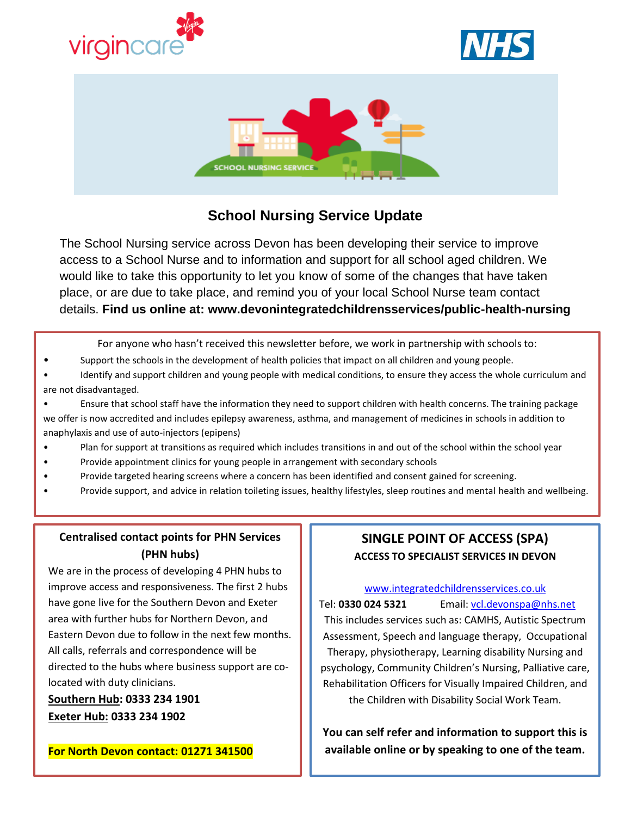





# **School Nursing Service Update**

The School Nursing service across Devon has been developing their service to improve access to a School Nurse and to information and support for all school aged children. We would like to take this opportunity to let you know of some of the changes that have taken place, or are due to take place, and remind you of your local School Nurse team contact details. **Find us online at: www.devonintegratedchildrensservices/public-health-nursing**

For anyone who hasn't received this newsletter before, we work in partnership with schools to:

- Support the schools in the development of health policies that impact on all children and young people.
- Identify and support children and young people with medical conditions, to ensure they access the whole curriculum and are not disadvantaged.
- Ensure that school staff have the information they need to support children with health concerns. The training package we offer is now accredited and includes epilepsy awareness, asthma, and management of medicines in schools in addition to anaphylaxis and use of auto-injectors (epipens)
- Plan for support at transitions as required which includes transitions in and out of the school within the school year
- Provide appointment clinics for young people in arrangement with secondary schools
- Provide targeted hearing screens where a concern has been identified and consent gained for screening.
- Provide support, and advice in relation toileting issues, healthy lifestyles, sleep routines and mental health and wellbeing.

#### **Centralised contact points for PHN Services (PHN hubs)**

We are in the process of developing 4 PHN hubs to improve access and responsiveness. The first 2 hubs have gone live for the Southern Devon and Exeter area with further hubs for Northern Devon, and Eastern Devon due to follow in the next few months. All calls, referrals and correspondence will be directed to the hubs where business support are colocated with duty clinicians.

**Southern Hub: 0333 234 1901 Exeter Hub: 0333 234 1902** 

## **SINGLE POINT OF ACCESS (SPA) ACCESS TO SPECIALIST SERVICES IN DEVON**

#### [www.integratedchildrensservices.co.uk](http://www.integratedchildrensservices.co.uk/)

Tel: **0330 024 5321** Email: [vcl.devonspa@nhs.net](mailto:vcl.devonspa@nhs.net) This includes services such as: CAMHS, Autistic Spectrum Assessment, Speech and language therapy, Occupational Therapy, physiotherapy, Learning disability Nursing and psychology, Community Children's Nursing, Palliative care, Rehabilitation Officers for Visually Impaired Children, and the Children with Disability Social Work Team.

**You can self refer and information to support this is available online or by speaking to one of the team.**

**For North Devon contact: 01271 341500**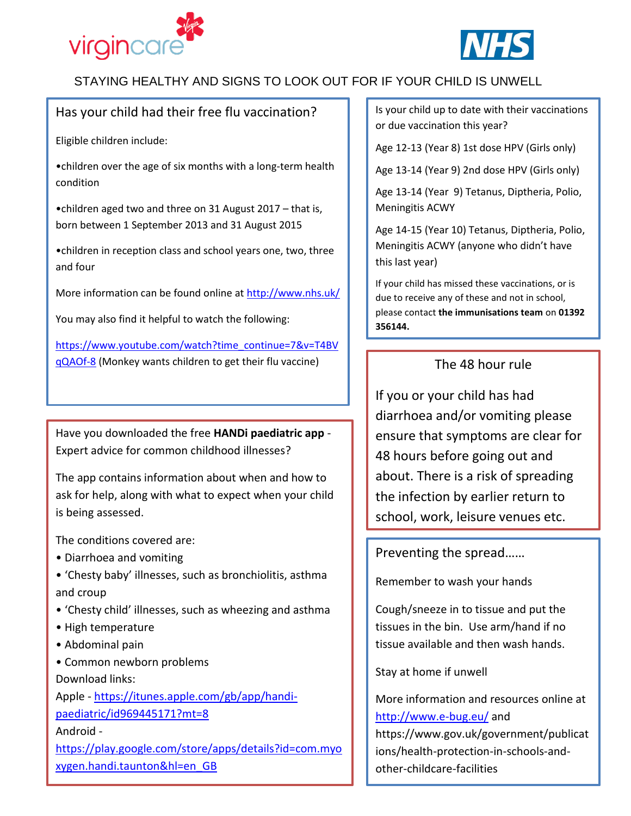



## STAYING HEALTHY AND SIGNS TO LOOK OUT FOR IF YOUR CHILD IS UNWELL

## Has your child had their free flu vaccination?

Eligible children include:

•children over the age of six months with a long-term health condition

•children aged two and three on 31 August 2017 – that is, born between 1 September 2013 and 31 August 2015

•children in reception class and school years one, two, three and four

More information can be found online at<http://www.nhs.uk/>

You may also find it helpful to watch the following:

[https://www.youtube.com/watch?time\\_continue=7&v=T4BV](https://www.youtube.com/watch?time_continue=7&v=T4BVqQAOf-8) [qQAOf-8](https://www.youtube.com/watch?time_continue=7&v=T4BVqQAOf-8) (Monkey wants children to get their flu vaccine)

Have you downloaded the free **HANDi paediatric app** - Expert advice for common childhood illnesses?

The app contains information about when and how to ask for help, along with what to expect when your child is being assessed.

The conditions covered are:

- Diarrhoea and vomiting
- 'Chesty baby' illnesses, such as bronchiolitis, asthma and croup
- 'Chesty child' illnesses, such as wheezing and asthma
- High temperature
- Abdominal pain
- Common newborn problems

Download links:

Apple - [https://itunes.apple.com/gb/app/handi](https://itunes.apple.com/gb/app/handi-paediatric/id969445171?mt=8)[paediatric/id969445171?mt=8](https://itunes.apple.com/gb/app/handi-paediatric/id969445171?mt=8)

Android -

[https://play.google.com/store/apps/details?id=com.myo](https://play.google.com/store/apps/details?id=com.myoxygen.handi.taunton&hl=en_GB) [xygen.handi.taunton&hl=en\\_GB](https://play.google.com/store/apps/details?id=com.myoxygen.handi.taunton&hl=en_GB)

Is your child up to date with their vaccinations or due vaccination this year?

Age 12-13 (Year 8) 1st dose HPV (Girls only)

Age 13-14 (Year 9) 2nd dose HPV (Girls only)

Age 13-14 (Year 9) Tetanus, Diptheria, Polio, Meningitis ACWY

Age 14-15 (Year 10) Tetanus, Diptheria, Polio, Meningitis ACWY (anyone who didn't have this last year)

If your child has missed these vaccinations, or is due to receive any of these and not in school, please contact **the immunisations team** on **01392 356144.**

## The 48 hour rule

If you or your child has had diarrhoea and/or vomiting please ensure that symptoms are clear for 48 hours before going out and about. There is a risk of spreading the infection by earlier return to school, work, leisure venues etc.

Preventing the spread……

Remember to wash your hands

Cough/sneeze in to tissue and put the tissues in the bin. Use arm/hand if no tissue available and then wash hands.

Stay at home if unwell

More information and resources online at <http://www.e-bug.eu/> and

https://www.gov.uk/government/publicat ions/health-protection-in-schools-andother-childcare-facilities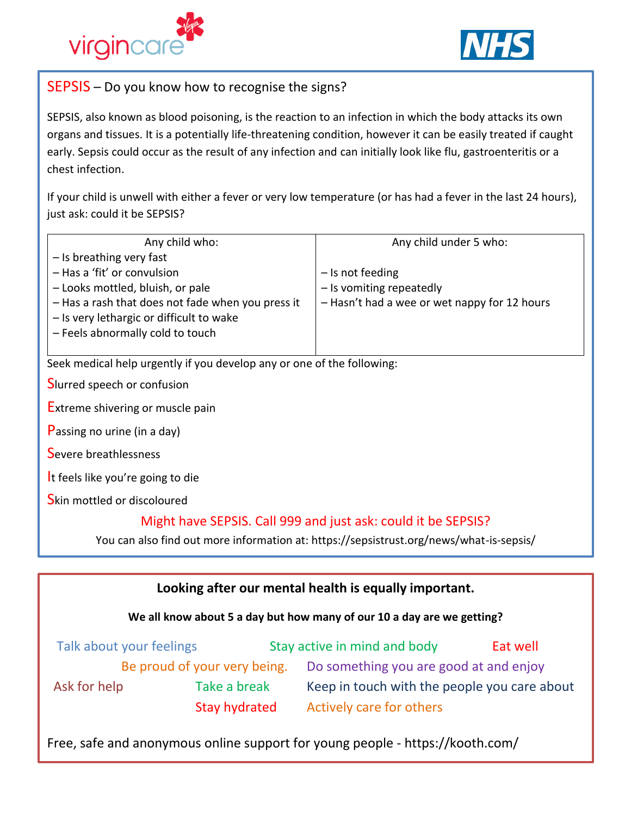



## SEPSIS – Do you know how to recognise the signs?

SEPSIS, also known as blood poisoning, is the reaction to an infection in which the body attacks its own organs and tissues. It is a potentially life-threatening condition, however it can be easily treated if caught early. Sepsis could occur as the result of any infection and can initially look like flu, gastroenteritis or a chest infection.

If your child is unwell with either a fever or very low temperature (or has had a fever in the last 24 hours), just ask: could it be SEPSIS?

| Any child who:                                    | Any child under 5 who:                       |  |
|---------------------------------------------------|----------------------------------------------|--|
| - Is breathing very fast                          |                                              |  |
| - Has a 'fit' or convulsion                       | $-$ Is not feeding                           |  |
| - Looks mottled, bluish, or pale                  | - Is vomiting repeatedly                     |  |
| - Has a rash that does not fade when you press it | - Hasn't had a wee or wet nappy for 12 hours |  |
| - Is very lethargic or difficult to wake          |                                              |  |
| - Feels abnormally cold to touch                  |                                              |  |
|                                                   |                                              |  |

Seek medical help urgently if you develop any or one of the following:

Slurred speech or confusion

Extreme shivering or muscle pain

Passing no urine (in a day)

Severe breathlessness

It feels like you're going to die

Skin mottled or discoloured

#### Might have SEPSIS. Call 999 and just ask: could it be SEPSIS?

You can also find out more information at: https://sepsistrust.org/news/what-is-sepsis/

#### **We all know about 5 a day but how many of our 10 a day are we getting?**

|                              | Talk about your feelings |                                        | Stay active in mind and body                 | Eat well |
|------------------------------|--------------------------|----------------------------------------|----------------------------------------------|----------|
| Be proud of your very being. |                          | Do something you are good at and enjoy |                                              |          |
| Ask for help                 | Take a break             |                                        | Keep in touch with the people you care about |          |
|                              | Stay hydrated            |                                        | Actively care for others                     |          |

Free, safe and anonymous online support for young people - https://kooth.com/